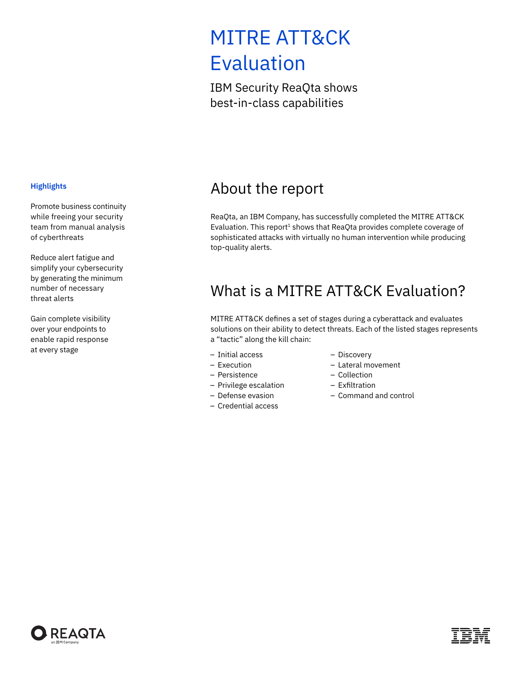# MITRE ATT&CK Evaluation

IBM Security ReaQta shows best-in-class capabilities

#### <span id="page-0-0"></span>**Highlights**

Promote business continuity while freeing your security team from manual analysis of cyberthreats

Reduce alert fatigue and simplify your cybersecurity by generating the minimum number of necessary threat alerts

Gain complete visibility over your endpoints to enable rapid response at every stage

### About the report

ReaQta, an IBM Company, has successfully completed the MITRE ATT&CK Evaluation. This report<sup>1</sup> shows that ReaQta provides complete coverage of sophisticated attacks with virtually no human intervention while producing top-quality alerts.

### What is a MITRE ATT&CK Evaluation?

MITRE ATT&CK defines a set of stages during a cyberattack and evaluates solutions on their ability to detect threats. Each of the listed stages represents a "tactic" along the kill chain:

- Initial access
- Execution
- Persistence
- Privilege escalation
- Defense evasion
- Credential access
- Discovery
- Lateral movement
- Collection
- Exfiltration
- Command and control

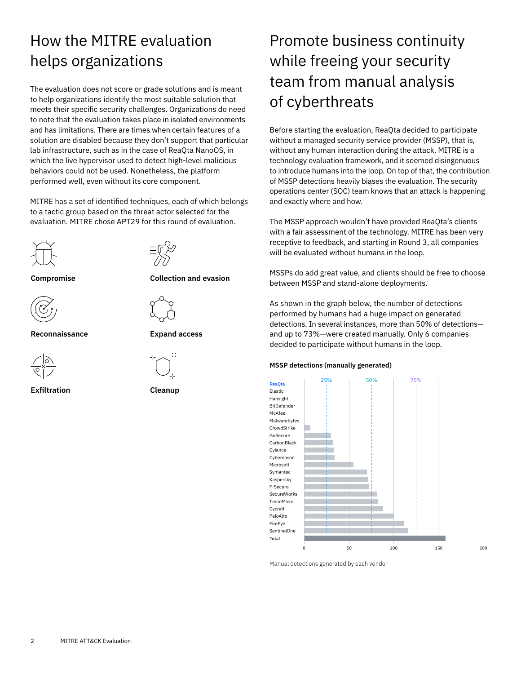## How the MITRE evaluation helps organizations

The evaluation does not score or grade solutions and is meant to help organizations identify the most suitable solution that meets their specific security challenges. Organizations do need to note that the evaluation takes place in isolated environments and has limitations. There are times when certain features of a solution are disabled because they don't support that particular lab infrastructure, such as in the case of ReaQta NanoOS, in which the live hypervisor used to detect high-level malicious behaviors could not be used. Nonetheless, the platform performed well, even without its core component.

MITRE has a set of identified techniques, each of which belongs to a tactic group based on the threat actor selected for the evaluation. MITRE chose APT29 for this round of evaluation.





**Compromise Collection and evasion**









**Exfiltration Cleanup**

## Promote business continuity while freeing your security team from manual analysis of cyberthreats

Before starting the evaluation, ReaQta decided to participate without a managed security service provider (MSSP), that is, without any human interaction during the attack. MITRE is a technology evaluation framework, and it seemed disingenuous to introduce humans into the loop. On top of that, the contribution of MSSP detections heavily biases the evaluation. The security operations center (SOC) team knows that an attack is happening and exactly where and how.

The MSSP approach wouldn't have provided ReaQta's clients with a fair assessment of the technology. MITRE has been very receptive to feedback, and starting in Round 3, all companies will be evaluated without humans in the loop.

MSSPs do add great value, and clients should be free to choose between MSSP and stand-alone deployments.

As shown in the graph below, the number of detections performed by humans had a huge impact on generated detections. In several instances, more than 50% of detections and up to 73%—were created manually. Only 6 companies decided to participate without humans in the loop.

### **MSSP detections (manually generated)**



Manual detections generated by each vendor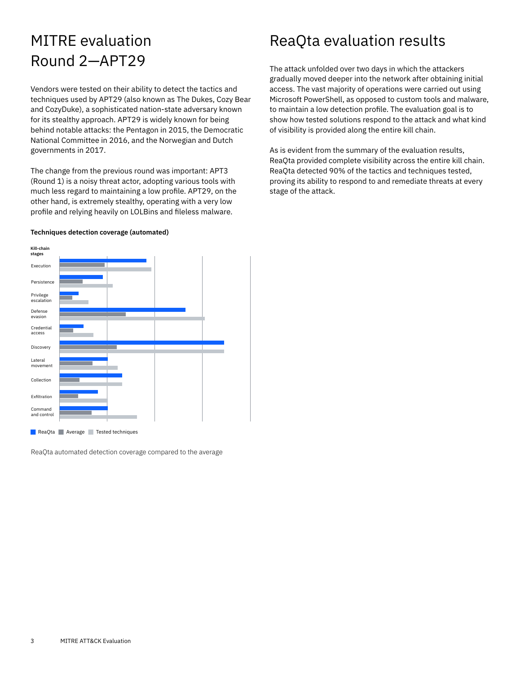## MITRE evaluation Round 2—APT29

Vendors were tested on their ability to detect the tactics and techniques used by APT29 (also known as The Dukes, Cozy Bear and CozyDuke), a sophisticated nation-state adversary known for its stealthy approach. APT29 is widely known for being behind notable attacks: the Pentagon in 2015, the Democratic National Committee in 2016, and the Norwegian and Dutch governments in 2017.

The change from the previous round was important: APT3 (Round 1) is a noisy threat actor, adopting various tools with much less regard to maintaining a low profile. APT29, on the other hand, is extremely stealthy, operating with a very low profile and relying heavily on LOLBins and fileless malware.

#### **Techniques detection coverage (automated)**



**ReaQta Average Tested techniques** 

ReaQta automated detection coverage compared to the average

### ReaQta evaluation results

The attack unfolded over two days in which the attackers gradually moved deeper into the network after obtaining initial access. The vast majority of operations were carried out using Microsoft PowerShell, as opposed to custom tools and malware, to maintain a low detection profile. The evaluation goal is to show how tested solutions respond to the attack and what kind of visibility is provided along the entire kill chain.

As is evident from the summary of the evaluation results, ReaQta provided complete visibility across the entire kill chain. ReaQta detected 90% of the tactics and techniques tested, proving its ability to respond to and remediate threats at every stage of the attack.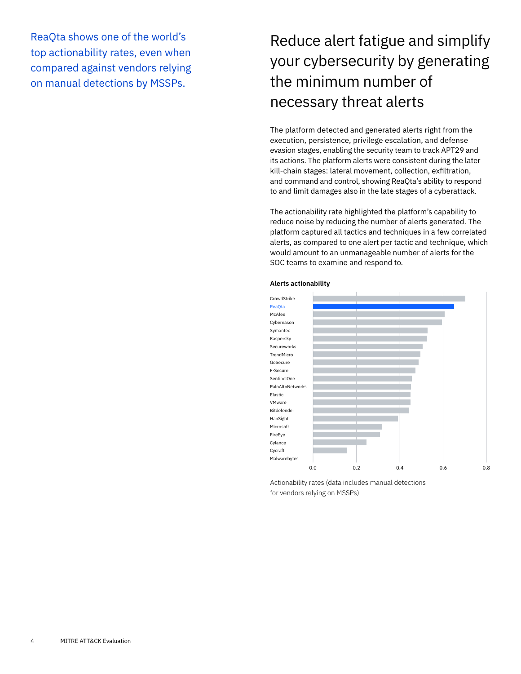ReaQta shows one of the world's top actionability rates, even when compared against vendors relying on manual detections by MSSPs.

## Reduce alert fatigue and simplify your cybersecurity by generating the minimum number of necessary threat alerts

The platform detected and generated alerts right from the execution, persistence, privilege escalation, and defense evasion stages, enabling the security team to track APT29 and its actions. The platform alerts were consistent during the later kill-chain stages: lateral movement, collection, exfiltration, and command and control, showing ReaQta's ability to respond to and limit damages also in the late stages of a cyberattack.

The actionability rate highlighted the platform's capability to reduce noise by reducing the number of alerts generated. The platform captured all tactics and techniques in a few correlated alerts, as compared to one alert per tactic and technique, which would amount to an unmanageable number of alerts for the SOC teams to examine and respond to.



#### **Alerts actionability**

Actionability rates (data includes manual detections for vendors relying on MSSPs)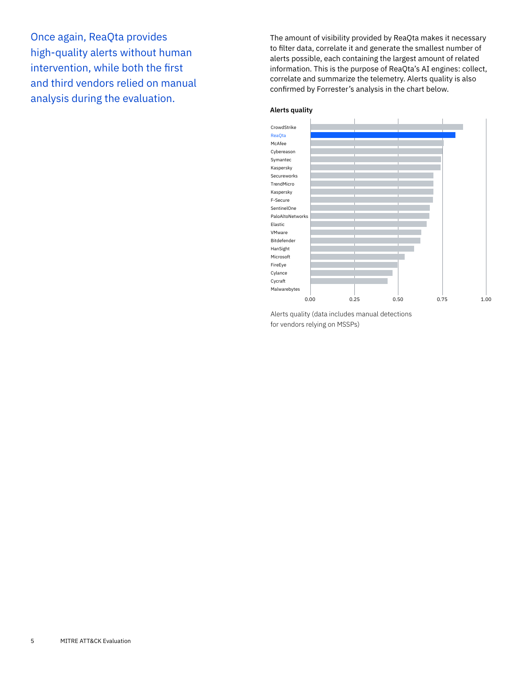Once again, ReaQta provides high-quality alerts without human intervention, while both the first and third vendors relied on manual analysis during the evaluation.

The amount of visibility provided by ReaQta makes it necessary to filter data, correlate it and generate the smallest number of alerts possible, each containing the largest amount of related information. This is the purpose of ReaQta's AI engines: collect, correlate and summarize the telemetry. Alerts quality is also confirmed by Forrester's analysis in the chart below.





Alerts quality (data includes manual detections for vendors relying on MSSPs)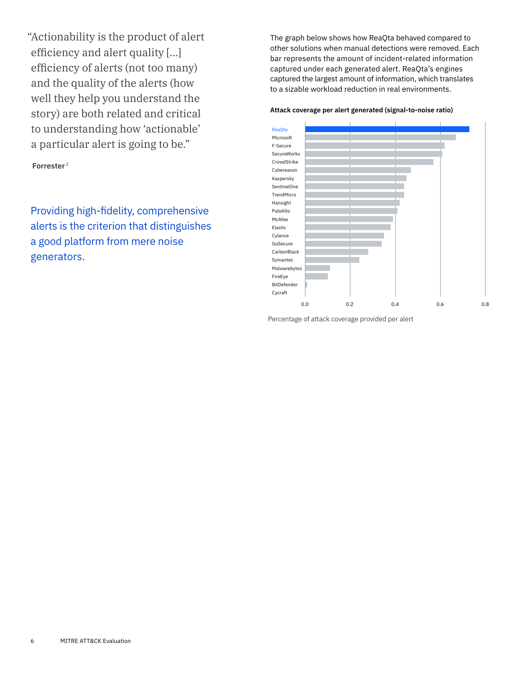<span id="page-5-0"></span>"Actionability is the product of alert efficiency and alert quality […] efficiency of alerts (not too many) and the quality of the alerts (how well they help you understand the story) are both related and critical to understanding how 'actionable' a particular alert is going to be."

**Forrester** [2](#page-8-0)

Providing high-fidelity, comprehensive alerts is the criterion that distinguishes a good platform from mere noise generators.

The graph below shows how ReaQta behaved compared to other solutions when manual detections were removed. Each bar represents the amount of incident-related information captured under each generated alert. ReaQta's engines captured the largest amount of information, which translates to a sizable workload reduction in real environments.

### **Attack coverage per alert generated (signal-to-noise ratio)**



Percentage of attack coverage provided per alert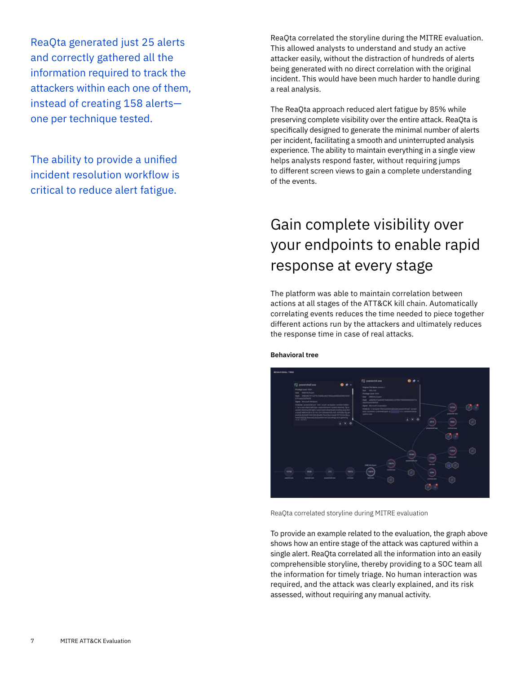ReaQta generated just 25 alerts and correctly gathered all the information required to track the attackers within each one of them, instead of creating 158 alerts one per technique tested.

The ability to provide a unified incident resolution workflow is critical to reduce alert fatigue.

ReaQta correlated the storyline during the MITRE evaluation. This allowed analysts to understand and study an active attacker easily, without the distraction of hundreds of alerts being generated with no direct correlation with the original incident. This would have been much harder to handle during a real analysis.

The ReaQta approach reduced alert fatigue by 85% while preserving complete visibility over the entire attack. ReaQta is specifically designed to generate the minimal number of alerts per incident, facilitating a smooth and uninterrupted analysis experience. The ability to maintain everything in a single view helps analysts respond faster, without requiring jumps to different screen views to gain a complete understanding of the events.

## Gain complete visibility over your endpoints to enable rapid response at every stage

The platform was able to maintain correlation between actions at all stages of the ATT&CK kill chain. Automatically correlating events reduces the time needed to piece together different actions run by the attackers and ultimately reduces the response time in case of real attacks.



#### **Behavioral tree**

ReaQta correlated storyline during MITRE evaluation

To provide an example related to the evaluation, the graph above shows how an entire stage of the attack was captured within a single alert. ReaQta correlated all the information into an easily comprehensible storyline, thereby providing to a SOC team all the information for timely triage. No human interaction was required, and the attack was clearly explained, and its risk assessed, without requiring any manual activity.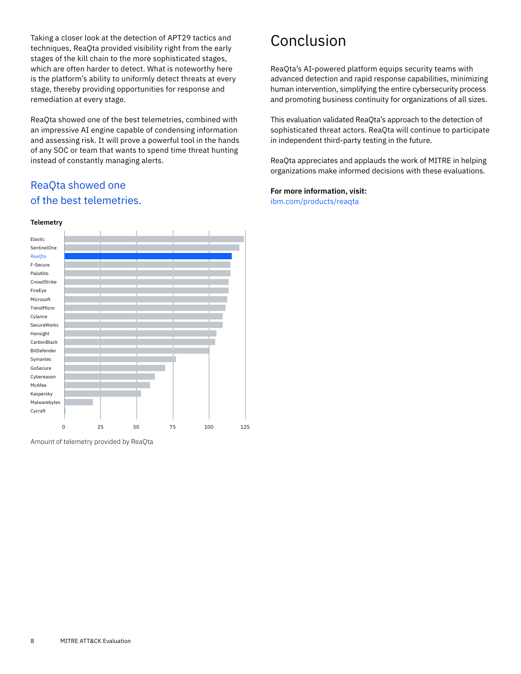Taking a closer look at the detection of APT29 tactics and techniques, ReaQta provided visibility right from the early stages of the kill chain to the more sophisticated stages, which are often harder to detect. What is noteworthy here is the platform's ability to uniformly detect threats at every stage, thereby providing opportunities for response and remediation at every stage.

ReaQta showed one of the best telemetries, combined with an impressive AI engine capable of condensing information and assessing risk. It will prove a powerful tool in the hands of any SOC or team that wants to spend time threat hunting instead of constantly managing alerts.

### ReaQta showed one of the best telemetries.



Amount of telemetry provided by ReaQta

## Conclusion

ReaQta's AI-powered platform equips security teams with advanced detection and rapid response capabilities, minimizing human intervention, simplifying the entire cybersecurity process and promoting business continuity for organizations of all sizes.

This evaluation validated ReaQta's approach to the detection of sophisticated threat actors. ReaQta will continue to participate in independent third-party testing in the future.

ReaQta appreciates and applauds the work of MITRE in helping organizations make informed decisions with these evaluations.

### **For more information, visit:**

ibm.com/[products/reaqta](http://www.ibm.com/products/reaqta)